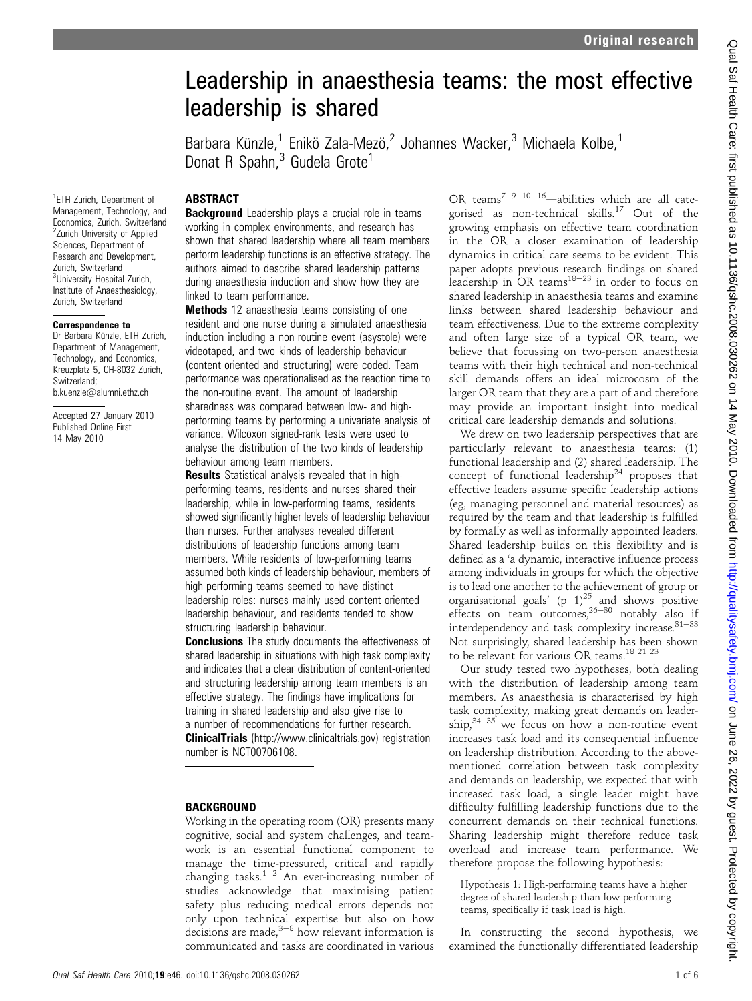# Leadership in anaesthesia teams: the most effective leadership is shared Barbara Künzle,<sup>1</sup> Enikö Zala-Mezö,<sup>2</sup> Johannes Wacker,<sup>3</sup> Michaela Kolbe,<sup>1</sup> Donat R Spahn,<sup>3</sup> Gudela Grote<sup>1</sup> **Background** Leadership plays a crucial role in teams working in complex environments, and research has shown that shared leadership where all team members perform leadership functions is an effective strategy. The authors aimed to describe shared leadership patterns during anaesthesia induction and show how they are linked to team performance. **Methods** 12 anaesthesia teams consisting of one resident and one nurse during a simulated anaesthesia induction including a non-routine event (asystole) were videotaped, and two kinds of leadership behaviour (content-oriented and structuring) were coded. Team performance was operationalised as the reaction time to the non-routine event. The amount of leadership

sharedness was compared between low- and highperforming teams by performing a univariate analysis of variance. Wilcoxon signed-rank tests were used to analyse the distribution of the two kinds of leadership behaviour among team members.

**Results** Statistical analysis revealed that in highperforming teams, residents and nurses shared their leadership, while in low-performing teams, residents showed significantly higher levels of leadership behaviour than nurses. Further analyses revealed different distributions of leadership functions among team members. While residents of low-performing teams assumed both kinds of leadership behaviour, members of high-performing teams seemed to have distinct leadership roles: nurses mainly used content-oriented leadership behaviour, and residents tended to show structuring leadership behaviour.

**Conclusions** The study documents the effectiveness of shared leadership in situations with high task complexity and indicates that a clear distribution of content-oriented and structuring leadership among team members is an effective strategy. The findings have implications for training in shared leadership and also give rise to a number of recommendations for further research. ClinicalTrials (http://www.clinicaltrials.gov) registration number is NCT00706108.

#### **BACKGROUND**

Working in the operating room (OR) presents many cognitive, social and system challenges, and teamwork is an essential functional component to manage the time-pressured, critical and rapidly changing tasks.<sup>1 2</sup> An ever-increasing number of studies acknowledge that maximising patient safety plus reducing medical errors depends not only upon technical expertise but also on how decisions are made, $3-8$  how relevant information is communicated and tasks are coordinated in various OR teams<sup>7 9 10-16</sup>-abilities which are all categorised as non-technical skills.<sup>17</sup> Out of the growing emphasis on effective team coordination in the OR a closer examination of leadership dynamics in critical care seems to be evident. This paper adopts previous research findings on shared leadership in OR teams $18-23$  in order to focus on shared leadership in anaesthesia teams and examine links between shared leadership behaviour and team effectiveness. Due to the extreme complexity and often large size of a typical OR team, we believe that focussing on two-person anaesthesia teams with their high technical and non-technical skill demands offers an ideal microcosm of the larger OR team that they are a part of and therefore may provide an important insight into medical critical care leadership demands and solutions.

We drew on two leadership perspectives that are particularly relevant to anaesthesia teams: (1) functional leadership and (2) shared leadership. The concept of functional leadership<sup>24</sup> proposes that effective leaders assume specific leadership actions (eg, managing personnel and material resources) as required by the team and that leadership is fulfilled by formally as well as informally appointed leaders. Shared leadership builds on this flexibility and is defined as a 'a dynamic, interactive influence process among individuals in groups for which the objective is to lead one another to the achievement of group or organisational goals' (p  $1)^{25}$  and shows positive effects on team outcomes,  $26-30$  notably also if interdependency and task complexity increase. $31-33$ Not surprisingly, shared leadership has been shown to be relevant for various OR teams.18 21 23

Our study tested two hypotheses, both dealing with the distribution of leadership among team members. As anaesthesia is characterised by high task complexity, making great demands on leadership,  $34 \times 35$  we focus on how a non-routine event increases task load and its consequential influence on leadership distribution. According to the abovementioned correlation between task complexity and demands on leadership, we expected that with increased task load, a single leader might have difficulty fulfilling leadership functions due to the concurrent demands on their technical functions. Sharing leadership might therefore reduce task overload and increase team performance. We therefore propose the following hypothesis:

Hypothesis 1: High-performing teams have a higher degree of shared leadership than low-performing teams, specifically if task load is high.

In constructing the second hypothesis, we examined the functionally differentiated leadership

# **ABSTRACT**

<sup>1</sup>ETH Zurich, Department of Management, Technology, and Economics, Zurich, Switzerland <sup>2</sup>Zurich University of Applied Sciences, Department of Research and Development, Zurich, Switzerland <sup>3</sup>University Hospital Zurich, Institute of Anaesthesiology, Zurich, Switzerland

#### Correspondence to

Dr Barbara Künzle, ETH Zurich, Department of Management, Technology, and Economics, Kreuzplatz 5, CH-8032 Zurich, Switzerland; b.kuenzle@alumni.ethz.ch

Accepted 27 January 2010 Published Online First 14 May 2010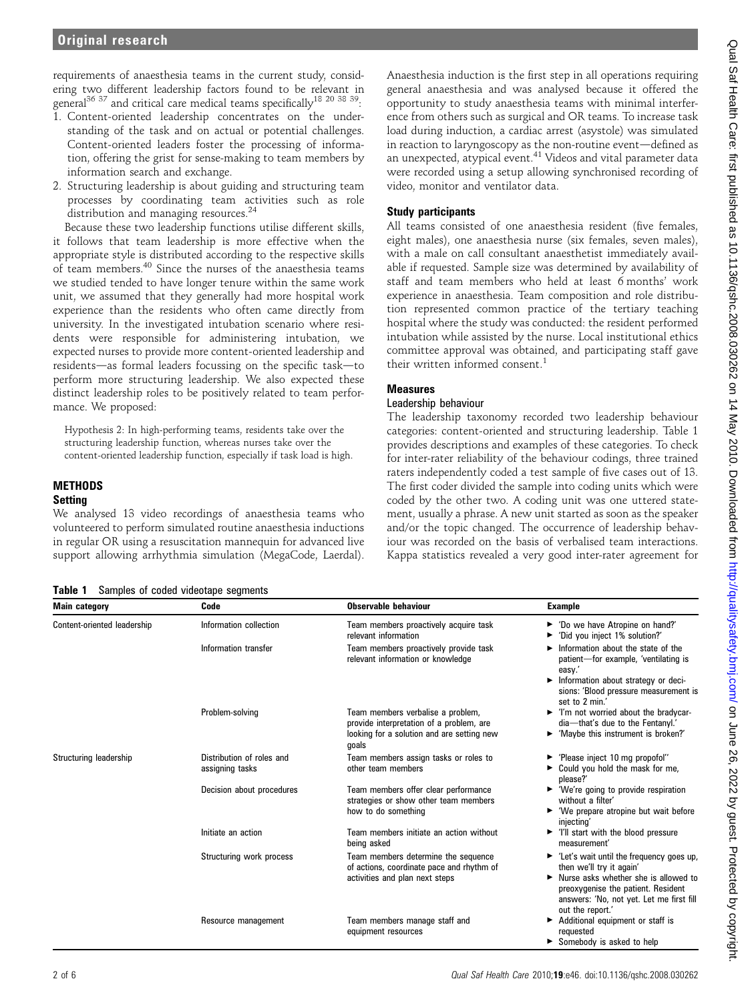requirements of anaesthesia teams in the current study, considering two different leadership factors found to be relevant in general<sup>36 37</sup> and critical care medical teams specifically<sup>18 20 38 39</sup>:

- 1. Content-oriented leadership concentrates on the understanding of the task and on actual or potential challenges. Content-oriented leaders foster the processing of information, offering the grist for sense-making to team members by information search and exchange.
- 2. Structuring leadership is about guiding and structuring team processes by coordinating team activities such as role distribution and managing resources.<sup>24</sup>

Because these two leadership functions utilise different skills, it follows that team leadership is more effective when the appropriate style is distributed according to the respective skills of team members.<sup>40</sup> Since the nurses of the anaesthesia teams we studied tended to have longer tenure within the same work unit, we assumed that they generally had more hospital work experience than the residents who often came directly from university. In the investigated intubation scenario where residents were responsible for administering intubation, we expected nurses to provide more content-oriented leadership and residents-as formal leaders focussing on the specific task-to perform more structuring leadership. We also expected these distinct leadership roles to be positively related to team performance. We proposed:

Hypothesis 2: In high-performing teams, residents take over the structuring leadership function, whereas nurses take over the content-oriented leadership function, especially if task load is high.

### **METHODS**

#### **Setting**

We analysed 13 video recordings of anaesthesia teams who volunteered to perform simulated routine anaesthesia inductions in regular OR using a resuscitation mannequin for advanced live support allowing arrhythmia simulation (MegaCode, Laerdal).

| <b>Table 1</b> Samples of coded videotape segments |  |
|----------------------------------------------------|--|
|----------------------------------------------------|--|

Anaesthesia induction is the first step in all operations requiring general anaesthesia and was analysed because it offered the opportunity to study anaesthesia teams with minimal interference from others such as surgical and OR teams. To increase task load during induction, a cardiac arrest (asystole) was simulated in reaction to laryngoscopy as the non-routine event-defined as an unexpected, atypical event.<sup>41</sup> Videos and vital parameter data were recorded using a setup allowing synchronised recording of video, monitor and ventilator data.

#### Study participants

All teams consisted of one anaesthesia resident (five females, eight males), one anaesthesia nurse (six females, seven males), with a male on call consultant anaesthetist immediately available if requested. Sample size was determined by availability of staff and team members who held at least 6 months' work experience in anaesthesia. Team composition and role distribution represented common practice of the tertiary teaching hospital where the study was conducted: the resident performed intubation while assisted by the nurse. Local institutional ethics committee approval was obtained, and participating staff gave their written informed consent.<sup>1</sup>

#### Measures

### Leadership behaviour

The leadership taxonomy recorded two leadership behaviour categories: content-oriented and structuring leadership. Table 1 provides descriptions and examples of these categories. To check for inter-rater reliability of the behaviour codings, three trained raters independently coded a test sample of five cases out of 13. The first coder divided the sample into coding units which were coded by the other two. A coding unit was one uttered statement, usually a phrase. A new unit started as soon as the speaker and/or the topic changed. The occurrence of leadership behaviour was recorded on the basis of verbalised team interactions. Kappa statistics revealed a very good inter-rater agreement for

| <b>Main category</b>        | Code                      | <b>Observable behaviour</b>                                                      | <b>Example</b>                                                                                                                             |  |  |
|-----------------------------|---------------------------|----------------------------------------------------------------------------------|--------------------------------------------------------------------------------------------------------------------------------------------|--|--|
| Content-oriented leadership | Information collection    | Team members proactively acquire task<br>relevant information                    | ► 'Do we have Atropine on hand?'<br>'Did you inject 1% solution?'                                                                          |  |  |
|                             | Information transfer      | Team members proactively provide task<br>relevant information or knowledge       | Information about the state of the<br>patient-for example, 'ventilating is<br>easy.'                                                       |  |  |
|                             |                           |                                                                                  | Information about strategy or deci-<br>sions: 'Blood pressure measurement is<br>set to 2 min.'                                             |  |  |
|                             | Problem-solving           | Team members verbalise a problem,                                                | I'm not worried about the bradycar-                                                                                                        |  |  |
|                             |                           | provide interpretation of a problem, are                                         | dia-that's due to the Fentanyl.'                                                                                                           |  |  |
|                             |                           | looking for a solution and are setting new<br>qoals                              | • 'Maybe this instrument is broken?'                                                                                                       |  |  |
| Structuring leadership      | Distribution of roles and | Team members assign tasks or roles to                                            | 'Please inject 10 mg propofol"                                                                                                             |  |  |
|                             | assigning tasks           | other team members                                                               | Could you hold the mask for me,<br>please?'                                                                                                |  |  |
|                             | Decision about procedures | Team members offer clear performance<br>strategies or show other team members    | $\blacktriangleright$ 'We're going to provide respiration<br>without a filter'                                                             |  |  |
|                             |                           | how to do something                                                              | 'We prepare atropine but wait before<br>injecting'                                                                                         |  |  |
|                             | Initiate an action        | Team members initiate an action without<br>being asked                           | ► 'I'll start with the blood pressure<br>measurement'                                                                                      |  |  |
|                             | Structuring work process  | Team members determine the sequence<br>of actions, coordinate pace and rhythm of | E 'Let's wait until the frequency goes up,<br>then we'll try it again'                                                                     |  |  |
|                             |                           | activities and plan next steps                                                   | Nurse asks whether she is allowed to<br>preoxygenise the patient. Resident<br>answers: 'No, not yet. Let me first fill<br>out the report.' |  |  |
|                             | Resource management       | Team members manage staff and                                                    | Additional equipment or staff is<br>▸                                                                                                      |  |  |
|                             |                           | equipment resources                                                              | requested                                                                                                                                  |  |  |
|                             |                           |                                                                                  | $\triangleright$ Somebody is asked to help                                                                                                 |  |  |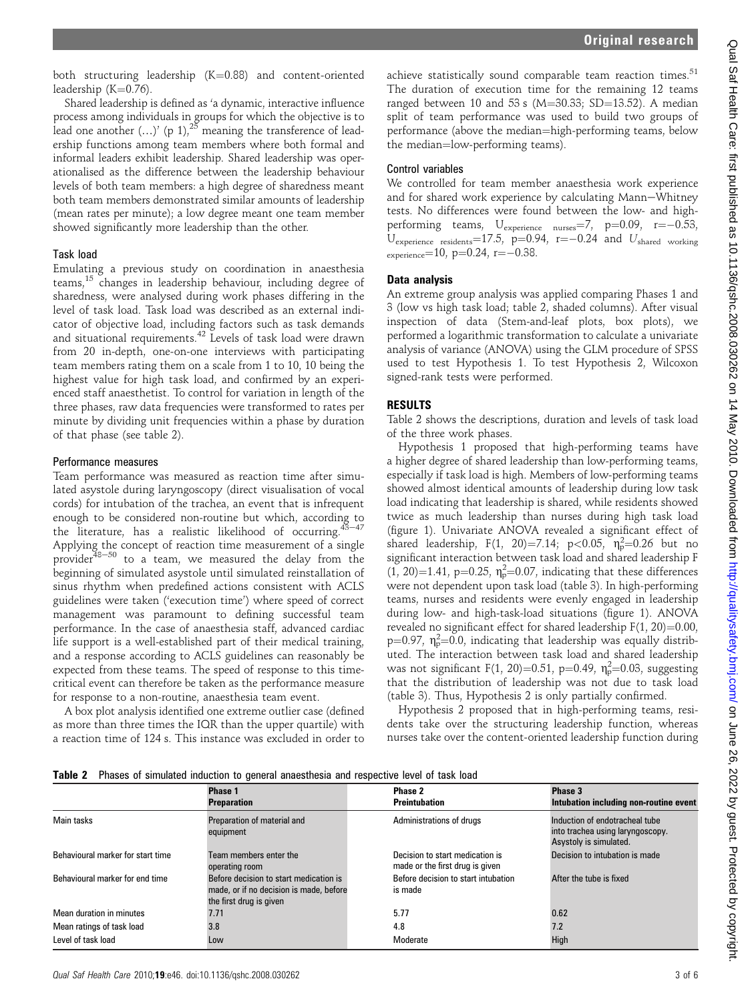both structuring leadership  $(K=0.88)$  and content-oriented leadership  $(K=0.76)$ .

Shared leadership is defined as 'a dynamic, interactive influence process among individuals in groups for which the objective is to lead one another  $(...)$  (p 1),<sup>25</sup> meaning the transference of leadership functions among team members where both formal and informal leaders exhibit leadership. Shared leadership was operationalised as the difference between the leadership behaviour levels of both team members: a high degree of sharedness meant both team members demonstrated similar amounts of leadership (mean rates per minute); a low degree meant one team member showed significantly more leadership than the other.

#### Task load

Emulating a previous study on coordination in anaesthesia teams,<sup>15</sup> changes in leadership behaviour, including degree of sharedness, were analysed during work phases differing in the level of task load. Task load was described as an external indicator of objective load, including factors such as task demands and situational requirements.<sup>42</sup> Levels of task load were drawn from 20 in-depth, one-on-one interviews with participating team members rating them on a scale from 1 to 10, 10 being the highest value for high task load, and confirmed by an experienced staff anaesthetist. To control for variation in length of the three phases, raw data frequencies were transformed to rates per minute by dividing unit frequencies within a phase by duration of that phase (see table 2).

### Performance measures

Team performance was measured as reaction time after simulated asystole during laryngoscopy (direct visualisation of vocal cords) for intubation of the trachea, an event that is infrequent enough to be considered non-routine but which, according to the literature, has a realistic likelihood of occurring.<sup>4</sup> Applying the concept of reaction time measurement of a single provider $48-50$  to a team, we measured the delay from the beginning of simulated asystole until simulated reinstallation of sinus rhythm when predefined actions consistent with ACLS guidelines were taken ('execution time') where speed of correct management was paramount to defining successful team performance. In the case of anaesthesia staff, advanced cardiac life support is a well-established part of their medical training, and a response according to ACLS guidelines can reasonably be expected from these teams. The speed of response to this timecritical event can therefore be taken as the performance measure for response to a non-routine, anaesthesia team event.

A box plot analysis identified one extreme outlier case (defined as more than three times the IQR than the upper quartile) with a reaction time of 124 s. This instance was excluded in order to achieve statistically sound comparable team reaction times.<sup>51</sup> The duration of execution time for the remaining 12 teams ranged between 10 and 53 s  $(M=30.33; SD=13.52)$ . A median split of team performance was used to build two groups of performance (above the median=high-performing teams, below the median=low-performing teams).

# Control variables

We controlled for team member anaesthesia work experience and for shared work experience by calculating Mann-Whitney tests. No differences were found between the low- and highperforming teams,  $U_{\text{experience}}$  nurses=7, p=0.09, r=-0.53,  $U_{\text{experiences}}$  residents=17.5, p=0.94, r=-0.24 and  $U_{\text{shared}}$  working  $_{\text{experience}} = 10, \text{ p}=0.24, \text{ r}=-0.38.$ 

## Data analysis

An extreme group analysis was applied comparing Phases 1 and 3 (low vs high task load; table 2, shaded columns). After visual inspection of data (Stem-and-leaf plots, box plots), we performed a logarithmic transformation to calculate a univariate analysis of variance (ANOVA) using the GLM procedure of SPSS used to test Hypothesis 1. To test Hypothesis 2, Wilcoxon signed-rank tests were performed.

# RESULTS

Table 2 shows the descriptions, duration and levels of task load of the three work phases.

Hypothesis 1 proposed that high-performing teams have a higher degree of shared leadership than low-performing teams, especially if task load is high. Members of low-performing teams showed almost identical amounts of leadership during low task load indicating that leadership is shared, while residents showed twice as much leadership than nurses during high task load (figure 1). Univariate ANOVA revealed a significant effect of shared leadership, F(1, 20)=7.14; p<0.05,  $\eta_{p}^{2}=0.26$  but no significant interaction between task load and shared leadership F  $(1, 20) = 1.41$ , p=0.25,  $\eta_p^2 = 0.07$ , indicating that these differences were not dependent upon task load (table 3). In high-performing teams, nurses and residents were evenly engaged in leadership during low- and high-task-load situations (figure 1). ANOVA revealed no significant effect for shared leadership  $F(1, 20) = 0.00$ ,  $p=0.97$ ,  $\eta_p^2=0.0$ , indicating that leadership was equally distributed. The interaction between task load and shared leadership was not significant F(1, 20)=0.51, p=0.49,  $\eta_{p}^{2}=0.03$ , suggesting that the distribution of leadership was not due to task load (table 3). Thus, Hypothesis 2 is only partially confirmed.

Hypothesis 2 proposed that in high-performing teams, residents take over the structuring leadership function, whereas nurses take over the content-oriented leadership function during

Table 2 Phases of simulated induction to general anaesthesia and respective level of task load

|                                   | Phase 1<br><b>Preparation</b>                                                                                | Phase 2<br><b>Preintubation</b>                                    | Phase 3<br>Intubation including non-routine event                                            |
|-----------------------------------|--------------------------------------------------------------------------------------------------------------|--------------------------------------------------------------------|----------------------------------------------------------------------------------------------|
| Main tasks                        | Preparation of material and<br>equipment                                                                     | Administrations of drugs                                           | Induction of endotracheal tube<br>into trachea using laryngoscopy.<br>Asystoly is simulated. |
| Behavioural marker for start time | Team members enter the<br>operating room                                                                     | Decision to start medication is<br>made or the first drug is given | Decision to intubation is made                                                               |
| Behavioural marker for end time   | Before decision to start medication is<br>made, or if no decision is made, before<br>the first drug is given | Before decision to start intubation<br>is made                     | After the tube is fixed                                                                      |
| Mean duration in minutes          | 7.71                                                                                                         | 5.77                                                               | 0.62                                                                                         |
| Mean ratings of task load         | 3.8                                                                                                          | 4.8                                                                | 7.2                                                                                          |
| Level of task load                | Low                                                                                                          | Moderate                                                           | High                                                                                         |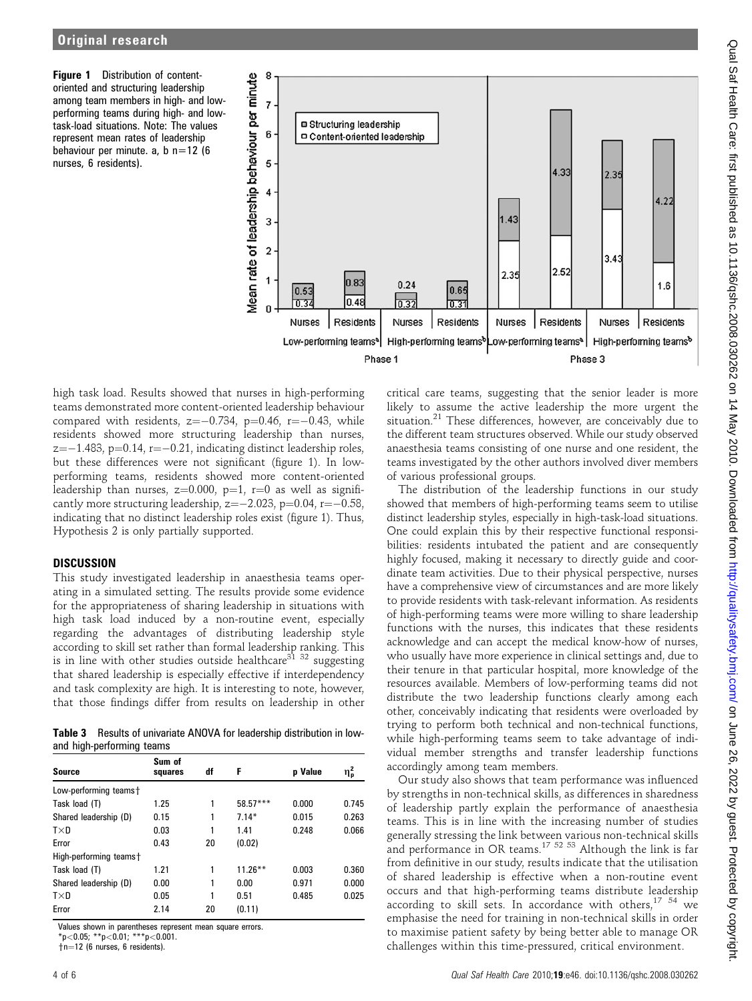Figure 1 Distribution of contentoriented and structuring leadership among team members in high- and lowperforming teams during high- and lowtask-load situations. Note: The values represent mean rates of leadership behaviour per minute.  $a, b$  n=12 (6) nurses, 6 residents).



high task load. Results showed that nurses in high-performing teams demonstrated more content-oriented leadership behaviour compared with residents, z= $-0.734$ , p= $0.46$ , r= $-0.43$ , while residents showed more structuring leadership than nurses, z=–1.483, p=0.14, r=–0.21, indicating distinct leadership roles, but these differences were not significant (figure 1). In lowperforming teams, residents showed more content-oriented leadership than nurses,  $z=0.000$ ,  $p=1$ ,  $r=0$  as well as significantly more structuring leadership, z= $-2.023$ , p= $0.04$ , r= $-0.58$ , indicating that no distinct leadership roles exist (figure 1). Thus, Hypothesis 2 is only partially supported.

#### DISCUSSION

This study investigated leadership in anaesthesia teams operating in a simulated setting. The results provide some evidence for the appropriateness of sharing leadership in situations with high task load induced by a non-routine event, especially regarding the advantages of distributing leadership style according to skill set rather than formal leadership ranking. This is in line with other studies outside healthcare<sup>31</sup> <sup>32</sup> suggesting that shared leadership is especially effective if interdependency and task complexity are high. It is interesting to note, however, that those findings differ from results on leadership in other

Table 3 Results of univariate ANOVA for leadership distribution in lowand high-performing teams

|                        | Sum of  |    |            |         |                         |
|------------------------|---------|----|------------|---------|-------------------------|
| <b>Source</b>          | squares | df | F          | p Value | $\eta_{\mathfrak{p}}^2$ |
| Low-performing teams+  |         |    |            |         |                         |
| Task load (T)          | 1.25    | 1  | 58.57***   | 0.000   | 0.745                   |
| Shared leadership (D)  | 0.15    | 1  | $7.14*$    | 0.015   | 0.263                   |
| $T \times D$           | 0.03    | 1  | 1.41       | 0.248   | 0.066                   |
| Error                  | 0.43    | 20 | (0.02)     |         |                         |
| High-performing teams+ |         |    |            |         |                         |
| Task load (T)          | 1.21    | 1  | $11.26***$ | 0.003   | 0.360                   |
| Shared leadership (D)  | 0.00    | 1  | 0.00       | 0.971   | 0.000                   |
| $T \times D$           | 0.05    | 1  | 0.51       | 0.485   | 0.025                   |
| Error                  | 2.14    | 20 | (0.11)     |         |                         |

Values shown in parentheses represent mean square errors.

\*p<0.05; \*\*p<0.01; \*\*\*p<0.001.

 $\dagger$ n=12 (6 nurses, 6 residents).

critical care teams, suggesting that the senior leader is more likely to assume the active leadership the more urgent the situation.<sup>21</sup> These differences, however, are conceivably due to the different team structures observed. While our study observed anaesthesia teams consisting of one nurse and one resident, the teams investigated by the other authors involved diver members of various professional groups.

The distribution of the leadership functions in our study showed that members of high-performing teams seem to utilise distinct leadership styles, especially in high-task-load situations. One could explain this by their respective functional responsibilities: residents intubated the patient and are consequently highly focused, making it necessary to directly guide and coordinate team activities. Due to their physical perspective, nurses have a comprehensive view of circumstances and are more likely to provide residents with task-relevant information. As residents of high-performing teams were more willing to share leadership functions with the nurses, this indicates that these residents acknowledge and can accept the medical know-how of nurses, who usually have more experience in clinical settings and, due to their tenure in that particular hospital, more knowledge of the resources available. Members of low-performing teams did not distribute the two leadership functions clearly among each other, conceivably indicating that residents were overloaded by trying to perform both technical and non-technical functions, while high-performing teams seem to take advantage of individual member strengths and transfer leadership functions accordingly among team members.

Our study also shows that team performance was influenced by strengths in non-technical skills, as differences in sharedness of leadership partly explain the performance of anaesthesia teams. This is in line with the increasing number of studies generally stressing the link between various non-technical skills and performance in OR teams.<sup>17 52 53</sup> Although the link is far from definitive in our study, results indicate that the utilisation of shared leadership is effective when a non-routine event occurs and that high-performing teams distribute leadership according to skill sets. In accordance with others,  $17\frac{54}{9}$  we emphasise the need for training in non-technical skills in order to maximise patient safety by being better able to manage OR challenges within this time-pressured, critical environment.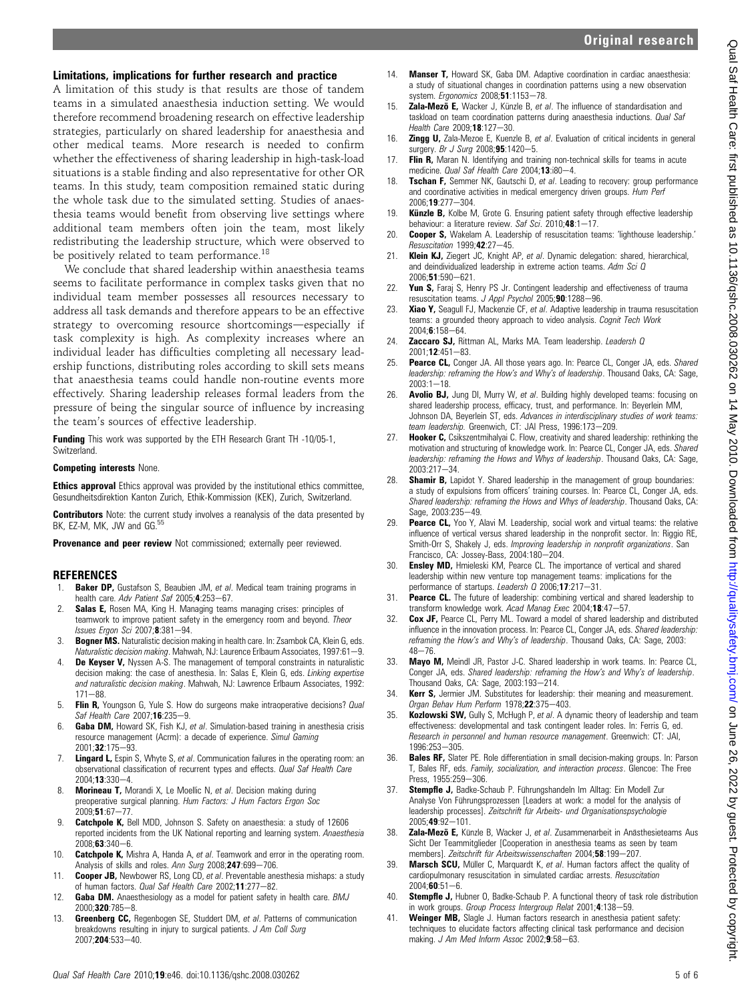Original research

**Qual** 

#### Limitations, implications for further research and practice

A limitation of this study is that results are those of tandem teams in a simulated anaesthesia induction setting. We would therefore recommend broadening research on effective leadership strategies, particularly on shared leadership for anaesthesia and other medical teams. More research is needed to confirm whether the effectiveness of sharing leadership in high-task-load situations is a stable finding and also representative for other OR teams. In this study, team composition remained static during the whole task due to the simulated setting. Studies of anaesthesia teams would benefit from observing live settings where additional team members often join the team, most likely redistributing the leadership structure, which were observed to be positively related to team performance.<sup>18</sup>

We conclude that shared leadership within anaesthesia teams seems to facilitate performance in complex tasks given that no individual team member possesses all resources necessary to address all task demands and therefore appears to be an effective strategy to overcoming resource shortcomings—especially if task complexity is high. As complexity increases where an individual leader has difficulties completing all necessary leadership functions, distributing roles according to skill sets means that anaesthesia teams could handle non-routine events more effectively. Sharing leadership releases formal leaders from the pressure of being the singular source of influence by increasing the team's sources of effective leadership.

Funding This work was supported by the ETH Research Grant TH -10/05-1, Switzerland.

#### Competing interests None.

**Ethics approval** Ethics approval was provided by the institutional ethics committee, Gesundheitsdirektion Kanton Zurich, Ethik-Kommission (KEK), Zurich, Switzerland.

**Contributors** Note: the current study involves a reanalysis of the data presented by BK, EZ-M, MK, JW and GG.<sup>55</sup>

Provenance and peer review Not commissioned; externally peer reviewed.

#### **REFERENCES**

- 1. **Baker DP,** Gustafson S, Beaubien JM, et al. Medical team training programs in health care. Adv Patient Saf 2005;4:253-67.
- 2. Salas E, Rosen MA, King H. Managing teams managing crises: principles of teamwork to improve patient safety in the emergency room and beyond. Theor  $Issues$  Ergon Sci 2007; $8:381-94$ .
- 3. Bogner MS. Naturalistic decision making in health care. In: Zsambok CA, Klein G, eds. Naturalistic decision making. Mahwah, NJ: Laurence Erlbaum Associates, 1997:61-9.
- 4. **De Keyser V,** Nyssen A-S. The management of temporal constraints in naturalistic decision making: the case of anesthesia. In: Salas E, Klein G, eds. Linking expertise and naturalistic decision making. Mahwah, NJ: Lawrence Erlbaum Associates, 1992:  $171 - 88$
- 5. Flin R, Youngson G, Yule S. How do surgeons make intraoperative decisions? Qual Saf Health Care 2007;16:235-9.
- 6. Gaba DM, Howard SK, Fish KJ, et al. Simulation-based training in anesthesia crisis resource management (Acrm): a decade of experience. Simul Gaming 2001;32:175-93.
- 7. Lingard L, Espin S, Whyte S, et al. Communication failures in the operating room: an observational classification of recurrent types and effects. Qual Saf Health Care  $2004:13:330-4.$
- 8. **Morineau T,** Morandi X, Le Moellic N, et al. Decision making during preoperative surgical planning. Hum Factors: J Hum Factors Ergon Soc  $2009:51:67-77.$
- 9. **Catchpole K,** Bell MDD, Johnson S. Safety on anaesthesia: a study of 12606 reported incidents from the UK National reporting and learning system. Anaesthesia  $2008:63:340-6.$
- 10. **Catchpole K,** Mishra A, Handa A, et al. Teamwork and error in the operating room. Analysis of skills and roles. Ann Surg 2008;247:699-706.
- 11. **Cooper JB,** Newbower RS, Long CD, et al. Preventable anesthesia mishaps: a study of human factors. Qual Saf Health Care 2002;11:277-82.
- 12. Gaba DM. Anaesthesiology as a model for patient safety in health care. BMJ 2000;320:785-8.
- 13. Greenberg CC, Regenbogen SE, Studdert DM, et al. Patterns of communication breakdowns resulting in injury to surgical patients. J Am Coll Surg 2007;204:533-40.
- 14. **Manser T**, Howard SK, Gaba DM, Adaptive coordination in cardiac anaesthesia: a study of situational changes in coordination patterns using a new observation system. Ergonomics 2008;51:1153-78.
- 15. **Zala-Mezo E,** Wacker J, Künzle B, et al. The influence of standardisation and taskload on team coordination patterns during anaesthesia inductions. Qual Saf Health Care  $2009:18:127-30$ .
- 16. **Zingg U,** Zala-Mezoe E, Kuenzle B, et al. Evaluation of critical incidents in general surgery. Br J Surg  $2008; 95:1420 - 5$ .
- 17. Flin R, Maran N. Identifying and training non-technical skills for teams in acute medicine. Qual Saf Health Care 2004;13:i80-4.
- 18. **Tschan F,** Semmer NK, Gautschi D, et al. Leading to recovery: group performance and coordinative activities in medical emergency driven groups. Hum Perf 2006;19:277-304.
- 19. Künzle B, Kolbe M, Grote G. Ensuring patient safety through effective leadership behaviour: a literature review. Saf Sci. 2010: $48:1-17$ .
- 20. Cooper S, Wakelam A. Leadership of resuscitation teams: 'lighthouse leadership.'  $Resuscitation$  1999; 42:27-45.
- 21. Klein KJ, Ziegert JC, Knight AP, et al. Dynamic delegation: shared, hierarchical, and deindividualized leadership in extreme action teams. Adm Sci Q  $2006;$ **51**:590-621.
- 22. Yun S, Faraj S, Henry PS Jr. Contingent leadership and effectiveness of trauma resuscitation teams. J Appl Psychol 2005;90:1288-96.
- 23. Xiao Y, Seagull FJ, Mackenzie CF, et al. Adaptive leadership in trauma resuscitation teams: a grounded theory approach to video analysis. Cognit Tech Work  $20046.158 - 64$
- 24. Zaccaro SJ, Rittman AL, Marks MA. Team leadership. Leadersh Q  $2001 \cdot 12 \cdot 451 - 83$
- 25. Pearce CL, Conger JA. All those years ago. In: Pearce CL, Conger JA, eds. Shared leadership: reframing the How's and Why's of leadership. Thousand Oaks, CA: Sage,  $2003 \cdot 1 - 18$
- 26. **Avolio BJ,** Jung DI, Murry W, et al. Building highly developed teams: focusing on shared leadership process, efficacy, trust, and performance. In: Beyerlein MM, Johnson DA, Beyerlein ST, eds. Advances in interdisciplinary studies of work teams: team leadership. Greenwich, CT: JAI Press, 1996:173-209.
- 27. **Hooker C.** Csikszentmihalyai C. Flow, creativity and shared leadership: rethinking the motivation and structuring of knowledge work. In: Pearce CL, Conger JA, eds. Shared leadership: reframing the Hows and Whys of leadership. Thousand Oaks, CA: Sage,  $2003:217 - 34.$
- 28. **Shamir B,** Lapidot Y. Shared leadership in the management of group boundaries: a study of expulsions from officers' training courses. In: Pearce CL, Conger JA, eds. Shared leadership: reframing the Hows and Whys of leadership. Thousand Oaks, CA: Sage, 2003:235-49.
- 29. Pearce CL, Yoo Y, Alavi M. Leadership, social work and virtual teams: the relative influence of vertical versus shared leadership in the nonprofit sector. In: Riggio RE, Smith-Orr S, Shakely J, eds. *Improving leadership in nonprofit organizations*. San Francisco, CA: Jossey-Bass, 2004:180-204.
- 30. **Ensley MD, Hmieleski KM, Pearce CL. The importance of vertical and shared** leadership within new venture top management teams: implications for the performance of startups. Leadersh  $Q$  2006;17:217-31.
- 31. Pearce CL. The future of leadership: combining vertical and shared leadership to transform knowledge work. Acad Manag Exec 2004;18:47-57.
- 32. Cox JF, Pearce CL, Perry ML. Toward a model of shared leadership and distributed influence in the innovation process. In: Pearce CL, Conger JA, eds. Shared leadership: reframing the How's and Why's of leadership. Thousand Oaks, CA: Sage, 2003:  $48 - 76$
- 33. Mayo M, Meindl JR, Pastor J-C. Shared leadership in work teams. In: Pearce CL, Conger JA, eds. Shared leadership: reframing the How's and Why's of leadership. Thousand Oaks, CA: Sage, 2003:193-214.
- 34. **Kerr S,** Jermier JM. Substitutes for leadership: their meaning and measurement. Organ Behav Hum Perform 1978;22:375-403.
- 35. Kozlowski SW, Gully S, McHugh P, et al. A dynamic theory of leadership and team effectiveness: developmental and task contingent leader roles. In: Ferris G, ed. Research in personnel and human resource management. Greenwich: CT: JAI, 1996:253-305.
- 36. Bales RF, Slater PE. Role differentiation in small decision-making groups. In: Parson T, Bales RF, eds. Family, socialization, and interaction process. Glencoe: The Free Press, 1955:259-306.
- 37. Stempfle J, Badke-Schaub P. Führungshandeln Im Alltag: Ein Modell Zur Analyse Von Führungsprozessen [Leaders at work: a model for the analysis of leadership processes]. Zeitschrift für Arbeits- und Organisationspsychologie  $2005:49:92-101$
- 38. Zala-Mezö E, Künzle B, Wacker J, et al. Zusammenarbeit in Anästhesieteams Aus Sicht Der Teammitglieder [Cooperation in anesthesia teams as seen by team members]. Zeitschrift für Arbeitswissenschaften 2004;58:199-207.
- 39. Marsch SCU, Müller C, Marquardt K, et al. Human factors affect the quality of cardiopulmonary resuscitation in simulated cardiac arrests. Resuscitation  $2004:60:51 - 6$
- 40. **Stempfle J,** Hubner O, Badke-Schaub P. A functional theory of task role distribution in work groups. Group Process Intergroup Relat 2001;4:138-59.
- 41. Weinger MB, Slagle J. Human factors research in anesthesia patient safety: techniques to elucidate factors affecting clinical task performance and decision making. J Am Med Inform Assoc 2002; $9:58-63$ .